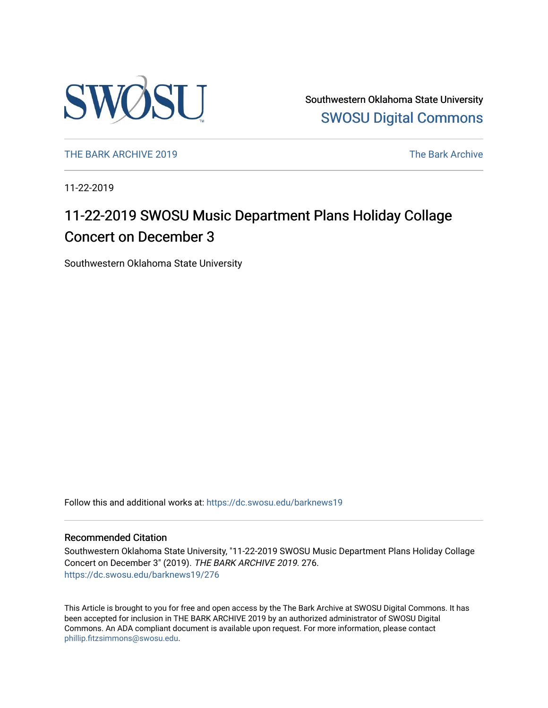

Southwestern Oklahoma State University [SWOSU Digital Commons](https://dc.swosu.edu/) 

[THE BARK ARCHIVE 2019](https://dc.swosu.edu/barknews19) The Bark Archive

11-22-2019

## 11-22-2019 SWOSU Music Department Plans Holiday Collage Concert on December 3

Southwestern Oklahoma State University

Follow this and additional works at: [https://dc.swosu.edu/barknews19](https://dc.swosu.edu/barknews19?utm_source=dc.swosu.edu%2Fbarknews19%2F276&utm_medium=PDF&utm_campaign=PDFCoverPages)

#### Recommended Citation

Southwestern Oklahoma State University, "11-22-2019 SWOSU Music Department Plans Holiday Collage Concert on December 3" (2019). THE BARK ARCHIVE 2019. 276. [https://dc.swosu.edu/barknews19/276](https://dc.swosu.edu/barknews19/276?utm_source=dc.swosu.edu%2Fbarknews19%2F276&utm_medium=PDF&utm_campaign=PDFCoverPages)

This Article is brought to you for free and open access by the The Bark Archive at SWOSU Digital Commons. It has been accepted for inclusion in THE BARK ARCHIVE 2019 by an authorized administrator of SWOSU Digital Commons. An ADA compliant document is available upon request. For more information, please contact [phillip.fitzsimmons@swosu.edu](mailto:phillip.fitzsimmons@swosu.edu).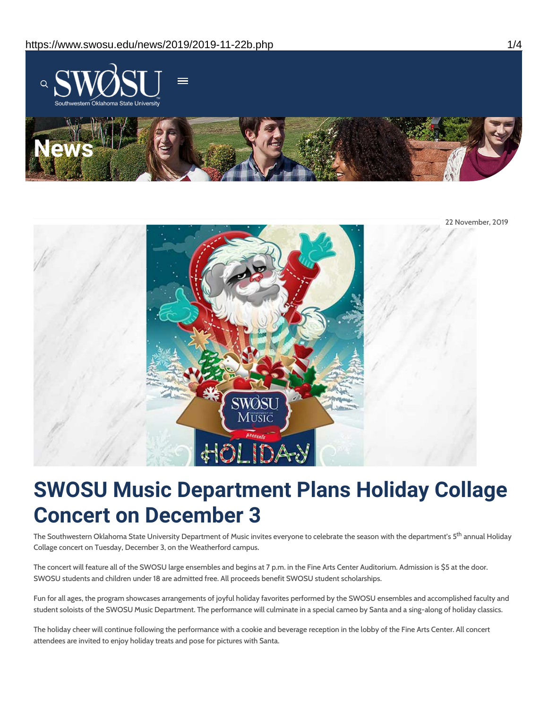



# **SWOSU Music Department Plans Holiday Collage Concert on December 3**

The Southwestern Oklahoma State University Department of Music invites everyone to celebrate the season with the department's 5<sup>th</sup> annual Holiday Collage concert on Tuesday, December 3, on the Weatherford campus.

The concert will feature all of the SWOSU large ensembles and begins at 7 p.m. in the Fine Arts Center Auditorium. Admission is \$5 at the door. SWOSU students and children under 18 are admitted free. All proceeds benefit SWOSU student scholarships.

Fun for all ages, the program showcases arrangements of joyful holiday favorites performed by the SWOSU ensembles and accomplished faculty and student soloists of the SWOSU Music Department. The performance will culminate in a special cameo by Santa and a sing-along of holiday classics.

The holiday cheer will continue following the performance with a cookie and beverage reception in the lobby of the Fine Arts Center. All concert attendees are invited to enjoy holiday treats and pose for pictures with Santa.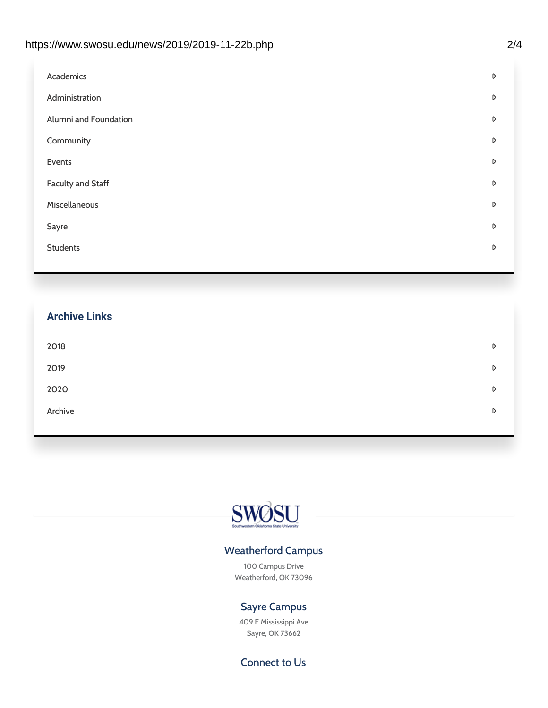| Academics<br>D             |  |
|----------------------------|--|
| Administration<br>D        |  |
| Alumni and Foundation<br>D |  |
| Community<br>D             |  |
| Events<br>D                |  |
| Faculty and Staff<br>D     |  |
| Miscellaneous<br>D         |  |
| D<br>Sayre                 |  |
| <b>Students</b><br>D       |  |

| <b>Archive Links</b> |   |
|----------------------|---|
| 2018                 | D |
| 2019                 | D |
| 2020                 | D |
| Archive              | D |



### Weatherford Campus

100 Campus Drive Weatherford, OK 73096

### Sayre Campus

409 E Mississippi Ave Sayre, OK 73662

Connect to Us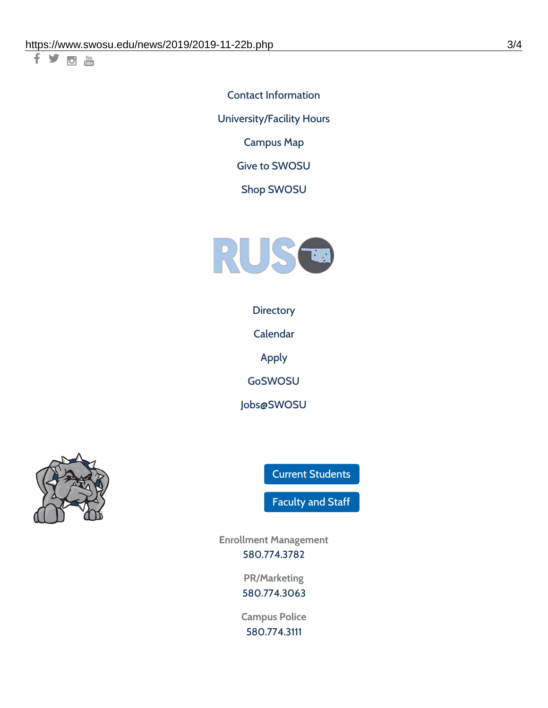千岁回调

Contact [Information](https://www.swosu.edu/about/contact.php) [University/Facility](https://www.swosu.edu/about/operating-hours.php) Hours [Campus](https://map.concept3d.com/?id=768#!ct/10964,10214,10213,10212,10205,10204,10203,10202,10136,10129,10128,0,31226,10130,10201,10641,0) Map

Give to [SWOSU](https://standingfirmly.com/donate)

Shop [SWOSU](https://shopswosu.merchorders.com/)



**[Directory](https://www.swosu.edu/directory/index.php)** 

[Calendar](https://eventpublisher.dudesolutions.com/swosu/)

[Apply](https://www.swosu.edu/admissions/apply-to-swosu.php)

[GoSWOSU](https://qlsso.quicklaunchsso.com/home/1267)

[Jobs@SWOSU](https://swosu.csod.com/ux/ats/careersite/1/home?c=swosu)



Current [Students](https://bulldog.swosu.edu/index.php)

[Faculty](https://bulldog.swosu.edu/faculty-staff/index.php) and Staff

**Enrollment Management** [580.774.3782](tel:5807743782)

> **PR/Marketing** [580.774.3063](tel:5807743063)

**Campus Police** [580.774.3111](tel:5807743111)